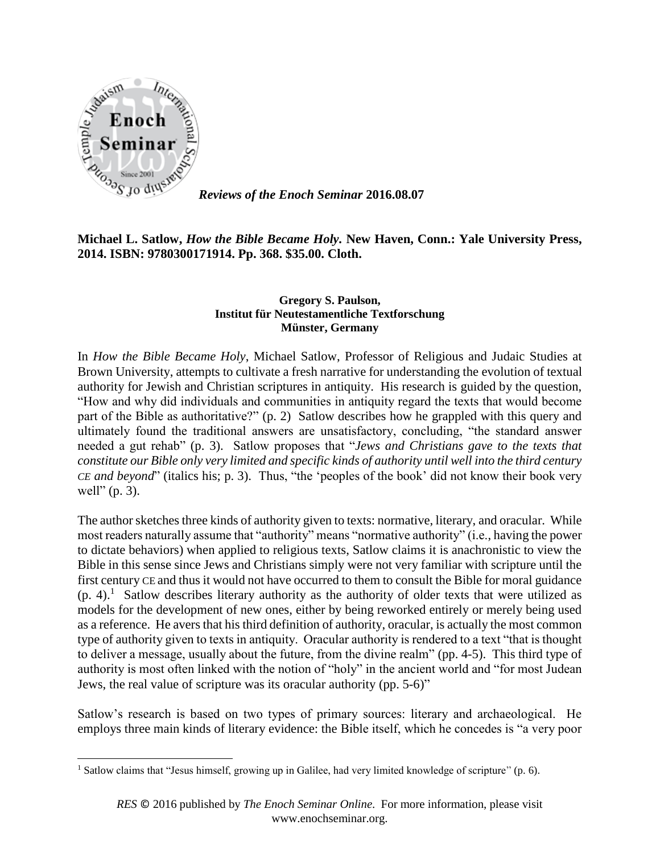

 $\overline{\phantom{a}}$ 

*Reviews of the Enoch Seminar* **2016.08.07**

**Michael L. Satlow,** *How the Bible Became Holy.* **New Haven, Conn.: Yale University Press, 2014. ISBN: 9780300171914. Pp. 368. \$35.00. Cloth.**

## **Gregory S. Paulson, Institut für Neutestamentliche Textforschung Münster, Germany**

In *How the Bible Became Holy*, Michael Satlow, Professor of Religious and Judaic Studies at Brown University, attempts to cultivate a fresh narrative for understanding the evolution of textual authority for Jewish and Christian scriptures in antiquity. His research is guided by the question, "How and why did individuals and communities in antiquity regard the texts that would become part of the Bible as authoritative?" (p. 2) Satlow describes how he grappled with this query and ultimately found the traditional answers are unsatisfactory, concluding, "the standard answer needed a gut rehab" (p. 3). Satlow proposes that "*Jews and Christians gave to the texts that constitute our Bible only very limited and specific kinds of authority until well into the third century CE and beyond*" (italics his; p. 3). Thus, "the 'peoples of the book' did not know their book very well" (p. 3).

The author sketches three kinds of authority given to texts: normative, literary, and oracular. While most readers naturally assume that "authority" means "normative authority" (i.e., having the power to dictate behaviors) when applied to religious texts, Satlow claims it is anachronistic to view the Bible in this sense since Jews and Christians simply were not very familiar with scripture until the first century CE and thus it would not have occurred to them to consult the Bible for moral guidance  $(p. 4)$ .<sup>1</sup> Satlow describes literary authority as the authority of older texts that were utilized as models for the development of new ones, either by being reworked entirely or merely being used as a reference. He avers that his third definition of authority, oracular, is actually the most common type of authority given to texts in antiquity. Oracular authority is rendered to a text "that is thought to deliver a message, usually about the future, from the divine realm" (pp. 4-5). This third type of authority is most often linked with the notion of "holy" in the ancient world and "for most Judean Jews, the real value of scripture was its oracular authority (pp. 5-6)"

Satlow's research is based on two types of primary sources: literary and archaeological. He employs three main kinds of literary evidence: the Bible itself, which he concedes is "a very poor

<sup>&</sup>lt;sup>1</sup> Satlow claims that "Jesus himself, growing up in Galilee, had very limited knowledge of scripture" (p. 6).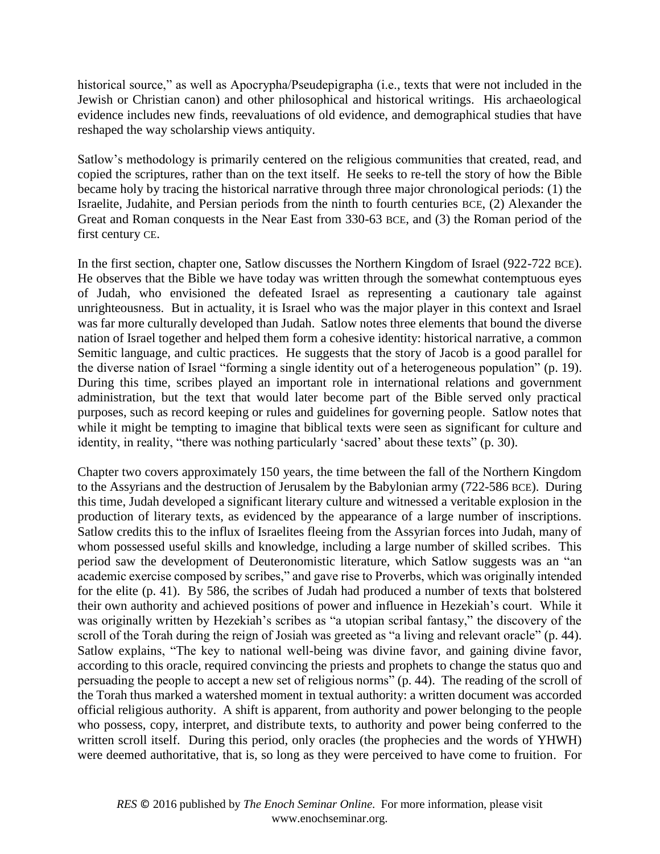historical source," as well as Apocrypha/Pseudepigrapha (i.e., texts that were not included in the Jewish or Christian canon) and other philosophical and historical writings. His archaeological evidence includes new finds, reevaluations of old evidence, and demographical studies that have reshaped the way scholarship views antiquity.

Satlow's methodology is primarily centered on the religious communities that created, read, and copied the scriptures, rather than on the text itself. He seeks to re-tell the story of how the Bible became holy by tracing the historical narrative through three major chronological periods: (1) the Israelite, Judahite, and Persian periods from the ninth to fourth centuries BCE, (2) Alexander the Great and Roman conquests in the Near East from 330-63 BCE, and (3) the Roman period of the first century CE.

In the first section, chapter one, Satlow discusses the Northern Kingdom of Israel (922-722 BCE). He observes that the Bible we have today was written through the somewhat contemptuous eyes of Judah, who envisioned the defeated Israel as representing a cautionary tale against unrighteousness. But in actuality, it is Israel who was the major player in this context and Israel was far more culturally developed than Judah. Satlow notes three elements that bound the diverse nation of Israel together and helped them form a cohesive identity: historical narrative, a common Semitic language, and cultic practices. He suggests that the story of Jacob is a good parallel for the diverse nation of Israel "forming a single identity out of a heterogeneous population" (p. 19). During this time, scribes played an important role in international relations and government administration, but the text that would later become part of the Bible served only practical purposes, such as record keeping or rules and guidelines for governing people. Satlow notes that while it might be tempting to imagine that biblical texts were seen as significant for culture and identity, in reality, "there was nothing particularly 'sacred' about these texts" (p. 30).

Chapter two covers approximately 150 years, the time between the fall of the Northern Kingdom to the Assyrians and the destruction of Jerusalem by the Babylonian army (722-586 BCE). During this time, Judah developed a significant literary culture and witnessed a veritable explosion in the production of literary texts, as evidenced by the appearance of a large number of inscriptions. Satlow credits this to the influx of Israelites fleeing from the Assyrian forces into Judah, many of whom possessed useful skills and knowledge, including a large number of skilled scribes. This period saw the development of Deuteronomistic literature, which Satlow suggests was an "an academic exercise composed by scribes," and gave rise to Proverbs, which was originally intended for the elite (p. 41). By 586, the scribes of Judah had produced a number of texts that bolstered their own authority and achieved positions of power and influence in Hezekiah's court. While it was originally written by Hezekiah's scribes as "a utopian scribal fantasy," the discovery of the scroll of the Torah during the reign of Josiah was greeted as "a living and relevant oracle" (p. 44). Satlow explains, "The key to national well-being was divine favor, and gaining divine favor, according to this oracle, required convincing the priests and prophets to change the status quo and persuading the people to accept a new set of religious norms" (p. 44). The reading of the scroll of the Torah thus marked a watershed moment in textual authority: a written document was accorded official religious authority. A shift is apparent, from authority and power belonging to the people who possess, copy, interpret, and distribute texts, to authority and power being conferred to the written scroll itself. During this period, only oracles (the prophecies and the words of YHWH) were deemed authoritative, that is, so long as they were perceived to have come to fruition. For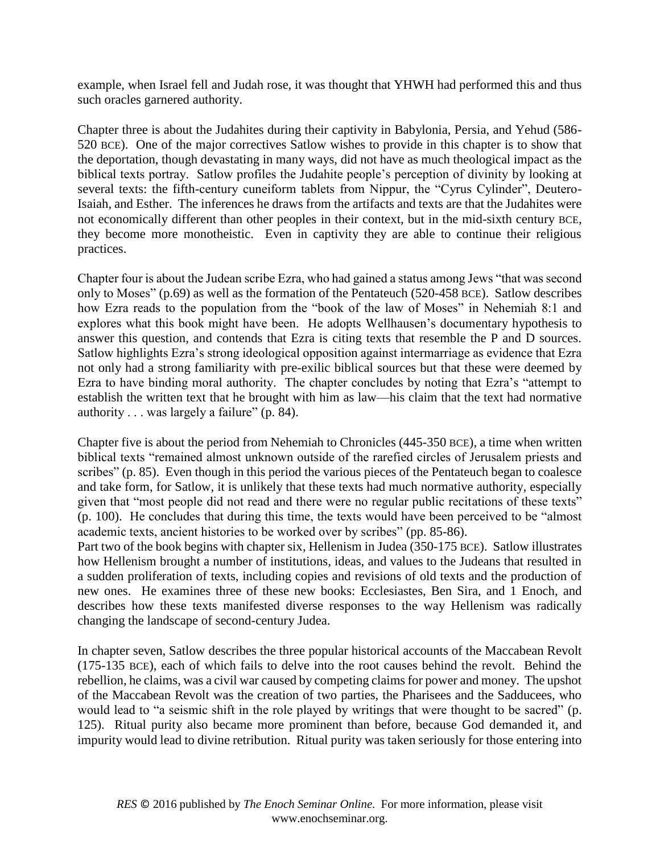example, when Israel fell and Judah rose, it was thought that YHWH had performed this and thus such oracles garnered authority.

Chapter three is about the Judahites during their captivity in Babylonia, Persia, and Yehud (586- 520 BCE). One of the major correctives Satlow wishes to provide in this chapter is to show that the deportation, though devastating in many ways, did not have as much theological impact as the biblical texts portray. Satlow profiles the Judahite people's perception of divinity by looking at several texts: the fifth-century cuneiform tablets from Nippur, the "Cyrus Cylinder", Deutero-Isaiah, and Esther. The inferences he draws from the artifacts and texts are that the Judahites were not economically different than other peoples in their context, but in the mid-sixth century BCE, they become more monotheistic. Even in captivity they are able to continue their religious practices.

Chapter four is about the Judean scribe Ezra, who had gained a status among Jews "that was second only to Moses" (p.69) as well as the formation of the Pentateuch (520-458 BCE). Satlow describes how Ezra reads to the population from the "book of the law of Moses" in Nehemiah 8:1 and explores what this book might have been. He adopts Wellhausen's documentary hypothesis to answer this question, and contends that Ezra is citing texts that resemble the P and D sources. Satlow highlights Ezra's strong ideological opposition against intermarriage as evidence that Ezra not only had a strong familiarity with pre-exilic biblical sources but that these were deemed by Ezra to have binding moral authority. The chapter concludes by noting that Ezra's "attempt to establish the written text that he brought with him as law—his claim that the text had normative authority . . . was largely a failure" (p. 84).

Chapter five is about the period from Nehemiah to Chronicles (445-350 BCE), a time when written biblical texts "remained almost unknown outside of the rarefied circles of Jerusalem priests and scribes" (p. 85). Even though in this period the various pieces of the Pentateuch began to coalesce and take form, for Satlow, it is unlikely that these texts had much normative authority, especially given that "most people did not read and there were no regular public recitations of these texts" (p. 100). He concludes that during this time, the texts would have been perceived to be "almost academic texts, ancient histories to be worked over by scribes" (pp. 85-86).

Part two of the book begins with chapter six, Hellenism in Judea (350-175 BCE). Satlow illustrates how Hellenism brought a number of institutions, ideas, and values to the Judeans that resulted in a sudden proliferation of texts, including copies and revisions of old texts and the production of new ones. He examines three of these new books: Ecclesiastes, Ben Sira, and 1 Enoch, and describes how these texts manifested diverse responses to the way Hellenism was radically changing the landscape of second-century Judea.

In chapter seven, Satlow describes the three popular historical accounts of the Maccabean Revolt (175-135 BCE), each of which fails to delve into the root causes behind the revolt. Behind the rebellion, he claims, was a civil war caused by competing claims for power and money. The upshot of the Maccabean Revolt was the creation of two parties, the Pharisees and the Sadducees, who would lead to "a seismic shift in the role played by writings that were thought to be sacred" (p. 125). Ritual purity also became more prominent than before, because God demanded it, and impurity would lead to divine retribution. Ritual purity was taken seriously for those entering into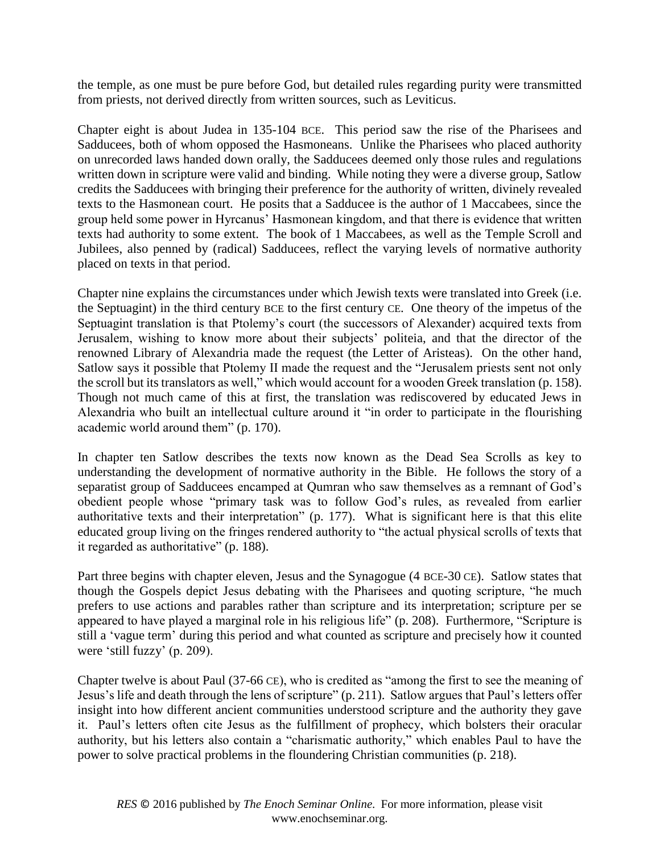the temple, as one must be pure before God, but detailed rules regarding purity were transmitted from priests, not derived directly from written sources, such as Leviticus.

Chapter eight is about Judea in 135-104 BCE. This period saw the rise of the Pharisees and Sadducees, both of whom opposed the Hasmoneans. Unlike the Pharisees who placed authority on unrecorded laws handed down orally, the Sadducees deemed only those rules and regulations written down in scripture were valid and binding. While noting they were a diverse group, Satlow credits the Sadducees with bringing their preference for the authority of written, divinely revealed texts to the Hasmonean court. He posits that a Sadducee is the author of 1 Maccabees, since the group held some power in Hyrcanus' Hasmonean kingdom, and that there is evidence that written texts had authority to some extent. The book of 1 Maccabees, as well as the Temple Scroll and Jubilees, also penned by (radical) Sadducees, reflect the varying levels of normative authority placed on texts in that period.

Chapter nine explains the circumstances under which Jewish texts were translated into Greek (i.e. the Septuagint) in the third century BCE to the first century CE. One theory of the impetus of the Septuagint translation is that Ptolemy's court (the successors of Alexander) acquired texts from Jerusalem, wishing to know more about their subjects' politeia, and that the director of the renowned Library of Alexandria made the request (the Letter of Aristeas). On the other hand, Satlow says it possible that Ptolemy II made the request and the "Jerusalem priests sent not only the scroll but its translators as well," which would account for a wooden Greek translation (p. 158). Though not much came of this at first, the translation was rediscovered by educated Jews in Alexandria who built an intellectual culture around it "in order to participate in the flourishing academic world around them" (p. 170).

In chapter ten Satlow describes the texts now known as the Dead Sea Scrolls as key to understanding the development of normative authority in the Bible. He follows the story of a separatist group of Sadducees encamped at Qumran who saw themselves as a remnant of God's obedient people whose "primary task was to follow God's rules, as revealed from earlier authoritative texts and their interpretation" (p. 177). What is significant here is that this elite educated group living on the fringes rendered authority to "the actual physical scrolls of texts that it regarded as authoritative" (p. 188).

Part three begins with chapter eleven, Jesus and the Synagogue (4 BCE-30 CE). Satlow states that though the Gospels depict Jesus debating with the Pharisees and quoting scripture, "he much prefers to use actions and parables rather than scripture and its interpretation; scripture per se appeared to have played a marginal role in his religious life" (p. 208). Furthermore, "Scripture is still a 'vague term' during this period and what counted as scripture and precisely how it counted were 'still fuzzy' (p. 209).

Chapter twelve is about Paul (37-66 CE), who is credited as "among the first to see the meaning of Jesus's life and death through the lens of scripture" (p. 211). Satlow argues that Paul's letters offer insight into how different ancient communities understood scripture and the authority they gave it. Paul's letters often cite Jesus as the fulfillment of prophecy, which bolsters their oracular authority, but his letters also contain a "charismatic authority," which enables Paul to have the power to solve practical problems in the floundering Christian communities (p. 218).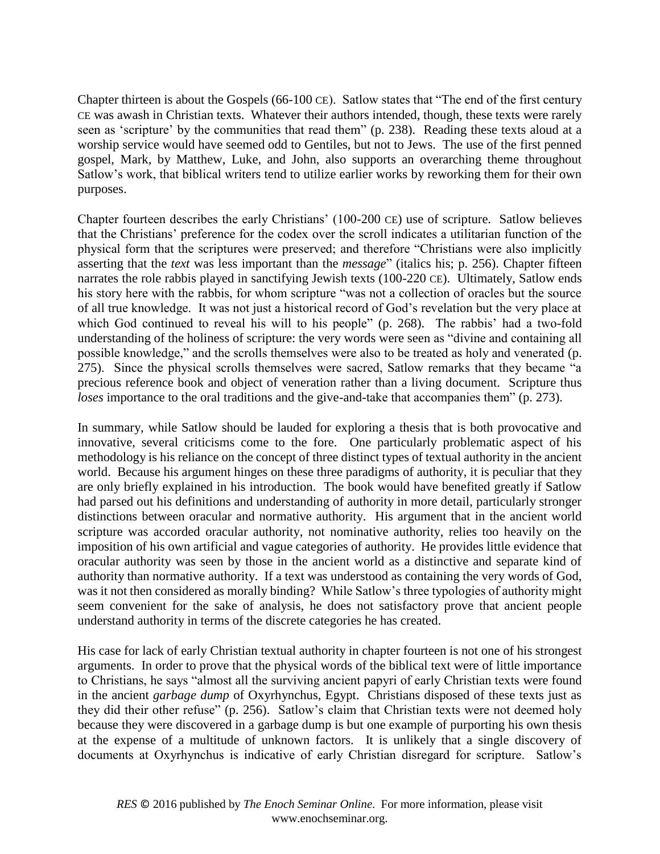Chapter thirteen is about the Gospels (66-100 CE). Satlow states that "The end of the first century CE was awash in Christian texts. Whatever their authors intended, though, these texts were rarely seen as 'scripture' by the communities that read them" (p. 238). Reading these texts aloud at a worship service would have seemed odd to Gentiles, but not to Jews. The use of the first penned gospel, Mark, by Matthew, Luke, and John, also supports an overarching theme throughout Satlow's work, that biblical writers tend to utilize earlier works by reworking them for their own purposes.

Chapter fourteen describes the early Christians' (100-200 CE) use of scripture. Satlow believes that the Christians' preference for the codex over the scroll indicates a utilitarian function of the physical form that the scriptures were preserved; and therefore "Christians were also implicitly asserting that the *text* was less important than the *message*" (italics his; p. 256). Chapter fifteen narrates the role rabbis played in sanctifying Jewish texts (100-220 CE). Ultimately, Satlow ends his story here with the rabbis, for whom scripture "was not a collection of oracles but the source of all true knowledge. It was not just a historical record of God's revelation but the very place at which God continued to reveal his will to his people" (p. 268). The rabbis' had a two-fold understanding of the holiness of scripture: the very words were seen as "divine and containing all possible knowledge," and the scrolls themselves were also to be treated as holy and venerated (p. 275). Since the physical scrolls themselves were sacred, Satlow remarks that they became "a precious reference book and object of veneration rather than a living document. Scripture thus *loses* importance to the oral traditions and the give-and-take that accompanies them" (p. 273).

In summary, while Satlow should be lauded for exploring a thesis that is both provocative and innovative, several criticisms come to the fore. One particularly problematic aspect of his methodology is his reliance on the concept of three distinct types of textual authority in the ancient world. Because his argument hinges on these three paradigms of authority, it is peculiar that they are only briefly explained in his introduction. The book would have benefited greatly if Satlow had parsed out his definitions and understanding of authority in more detail, particularly stronger distinctions between oracular and normative authority. His argument that in the ancient world scripture was accorded oracular authority, not nominative authority, relies too heavily on the imposition of his own artificial and vague categories of authority. He provides little evidence that oracular authority was seen by those in the ancient world as a distinctive and separate kind of authority than normative authority. If a text was understood as containing the very words of God, was it not then considered as morally binding? While Satlow's three typologies of authority might seem convenient for the sake of analysis, he does not satisfactory prove that ancient people understand authority in terms of the discrete categories he has created.

His case for lack of early Christian textual authority in chapter fourteen is not one of his strongest arguments. In order to prove that the physical words of the biblical text were of little importance to Christians, he says "almost all the surviving ancient papyri of early Christian texts were found in the ancient *garbage dump* of Oxyrhynchus, Egypt. Christians disposed of these texts just as they did their other refuse" (p. 256). Satlow's claim that Christian texts were not deemed holy because they were discovered in a garbage dump is but one example of purporting his own thesis at the expense of a multitude of unknown factors. It is unlikely that a single discovery of documents at Oxyrhynchus is indicative of early Christian disregard for scripture. Satlow's